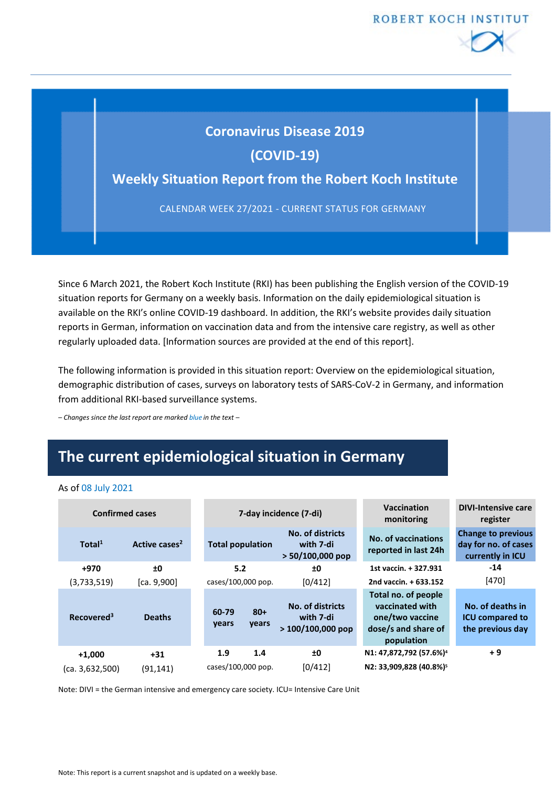

## **Coronavirus Disease 2019**

**(COVID-19)**

# **Weekly Situation Report from the Robert Koch Institute<br>CALENDAR WEEK 27/2021 - CURRENT STATUS FOR GERMANY**

CALENDAR WEEK 27/2021 - CURRENT STATUS FOR GERMANY

Since 6 March 2021, the Robert Koch Institute (RKI) has been publishing the English version of the COVID-19 situation reports for Germany on a weekly basis. Information on the daily epidemiological situation is available on the RKI's online COVID-19 dashboard. In addition, the RKI's website provides daily situation reports in German, information on vaccination data and from the intensive care registry, as well as other regularly uploaded data. [Information sources are provided at the end of this report].

The following information is provided in this situation report: Overview on the epidemiological situation, demographic distribution of cases, surveys on laboratory tests of SARS-CoV-2 in Germany, and information from additional RKI-based surveillance systems.

*– Changes since the last report are marked blue in the text –*

# **The current epidemiological situation in Germany**

#### As of 08 July 2021

| <b>Confirmed cases</b> |                           |                |                         | 7-day incidence (7-di)                              | <b>Vaccination</b><br>monitoring                                                               | <b>DIVI-Intensive care</b><br>register                                |
|------------------------|---------------------------|----------------|-------------------------|-----------------------------------------------------|------------------------------------------------------------------------------------------------|-----------------------------------------------------------------------|
| Total <sup>1</sup>     | Active cases <sup>2</sup> |                | <b>Total population</b> | No. of districts<br>with 7-di<br>$> 50/100,000$ pop | No. of vaccinations<br>reported in last 24h                                                    | <b>Change to previous</b><br>day for no. of cases<br>currently in ICU |
| +970                   | ±0                        |                | 5.2                     | ±0                                                  | 1st vaccin. + 327.931                                                                          | $-14$                                                                 |
| (3,733,519)            | [ca. 9,900]               |                | cases/100,000 pop.      | [0/412]                                             | 2nd vaccin. + 633.152                                                                          | $[470]$                                                               |
| Recovered <sup>3</sup> | <b>Deaths</b>             | 60-79<br>years | $80+$<br>years          | No. of districts<br>with 7-di<br>$>100/100,000$ pop | Total no. of people<br>vaccinated with<br>one/two vaccine<br>dose/s and share of<br>population | No. of deaths in<br><b>ICU compared to</b><br>the previous day        |
| $+1.000$               | $+31$                     | 1.9            | 1.4                     | ±0                                                  | N1: 47,872,792 (57.6%) <sup>4</sup>                                                            | $+9$                                                                  |
| (ca. 3,632,500)        | (91, 141)                 |                | cases/100,000 pop.      | [0/412]                                             | N2: 33,909,828 (40.8%) <sup>5</sup>                                                            |                                                                       |

Note: DIVI = the German intensive and emergency care society. ICU= Intensive Care Unit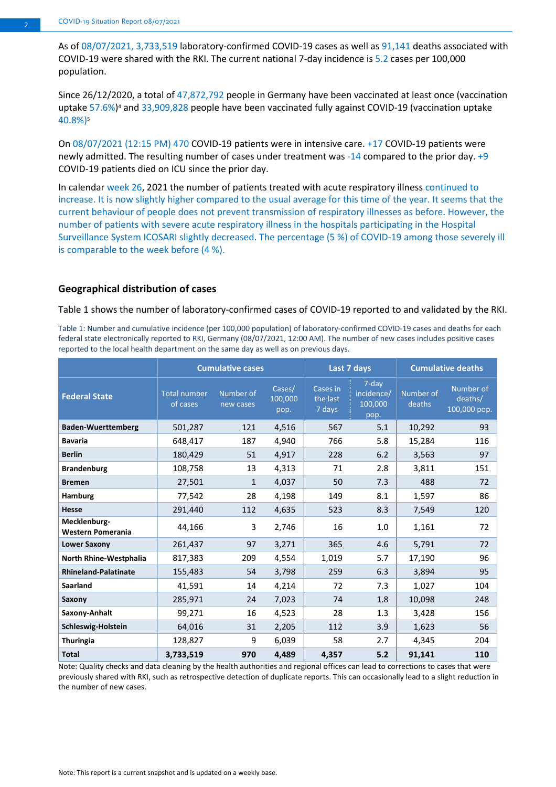As of 08/07/2021, 3,733,519 laboratory-confirmed COVID-19 cases as well as 91,141 deaths associated with COVID-19 were shared with the RKI. The current national 7-day incidence is 5.2 cases per 100,000 population.

Since 26/12/2020, a total of 47,872,792 people in Germany have been vaccinated at least once (vaccination uptake 57.6%)<sup>4</sup> and 33,909,828 people have been vaccinated fully against COVID-19 (vaccination uptake 40.8%)5

On 08/07/2021 (12:15 PM) 470 COVID-19 patients were in intensive care. +17 COVID-19 patients were newly admitted. The resulting number of cases under treatment was -14 compared to the prior day. +9 COVID-19 patients died on ICU since the prior day.

In calendar week 26, 2021 the number of patients treated with acute respiratory illness continued to increase. It is now slightly higher compared to the usual average for this time of the year. It seems that the current behaviour of people does not prevent transmission of respiratory illnesses as before. However, the number of patients with severe acute respiratory illness in the hospitals participating in the Hospital Surveillance System ICOSARI slightly decreased. The percentage (5 %) of COVID-19 among those severely ill is comparable to the week before (4 %).

#### **Geographical distribution of cases**

[Table](#page-1-0) 1 shows the number of laboratory-confirmed cases of COVID-19 reported to and validated by the RKI.

<span id="page-1-0"></span>Table 1: Number and cumulative incidence (per 100,000 population) of laboratory-confirmed COVID-19 cases and deaths for each federal state electronically reported to RKI, Germany (08/07/2021, 12:00 AM). The number of new cases includes positive cases reported to the local health department on the same day as well as on previous days.

|                                   | <b>Cumulative cases</b>         |                        |                           | Last 7 days                    |                                        | <b>Cumulative deaths</b> |                                      |
|-----------------------------------|---------------------------------|------------------------|---------------------------|--------------------------------|----------------------------------------|--------------------------|--------------------------------------|
| <b>Federal State</b>              | <b>Total number</b><br>of cases | Number of<br>new cases | Cases/<br>100,000<br>pop. | Cases in<br>the last<br>7 days | 7-day<br>incidence/<br>100,000<br>pop. | Number of<br>deaths      | Number of<br>deaths/<br>100,000 pop. |
| <b>Baden-Wuerttemberg</b>         | 501,287                         | 121                    | 4,516                     | 567                            | 5.1                                    | 10,292                   | 93                                   |
| <b>Bavaria</b>                    | 648,417                         | 187                    | 4,940                     | 766                            | 5.8                                    | 15,284                   | 116                                  |
| <b>Berlin</b>                     | 180,429                         | 51                     | 4,917                     | 228                            | 6.2                                    | 3,563                    | 97                                   |
| <b>Brandenburg</b>                | 108,758                         | 13                     | 4,313                     | 71                             | 2.8                                    | 3,811                    | 151                                  |
| <b>Bremen</b>                     | 27,501                          | $\mathbf{1}$           | 4,037                     | 50                             | 7.3                                    | 488                      | 72                                   |
| <b>Hamburg</b>                    | 77,542                          | 28                     | 4,198                     | 149                            | 8.1                                    | 1,597                    | 86                                   |
| <b>Hesse</b>                      | 291,440                         | 112                    | 4,635                     | 523                            | 8.3                                    | 7,549                    | 120                                  |
| Mecklenburg-<br>Western Pomerania | 44,166                          | 3                      | 2,746                     | 16                             | 1.0                                    | 1,161                    | 72                                   |
| <b>Lower Saxony</b>               | 261,437                         | 97                     | 3,271                     | 365                            | 4.6                                    | 5,791                    | 72                                   |
| North Rhine-Westphalia            | 817,383                         | 209                    | 4,554                     | 1,019                          | 5.7                                    | 17,190                   | 96                                   |
| <b>Rhineland-Palatinate</b>       | 155,483                         | 54                     | 3,798                     | 259                            | 6.3                                    | 3,894                    | 95                                   |
| <b>Saarland</b>                   | 41,591                          | 14                     | 4,214                     | 72                             | 7.3                                    | 1,027                    | 104                                  |
| Saxony                            | 285,971                         | 24                     | 7,023                     | 74                             | 1.8                                    | 10,098                   | 248                                  |
| Saxony-Anhalt                     | 99,271                          | 16                     | 4,523                     | 28                             | 1.3                                    | 3,428                    | 156                                  |
| Schleswig-Holstein                | 64,016                          | 31                     | 2,205                     | 112                            | 3.9                                    | 1,623                    | 56                                   |
| <b>Thuringia</b>                  | 128,827                         | 9                      | 6,039                     | 58                             | 2.7                                    | 4,345                    | 204                                  |
| <b>Total</b>                      | 3,733,519                       | 970                    | 4,489                     | 4,357                          | 5.2                                    | 91,141                   | 110                                  |

Note: Quality checks and data cleaning by the health authorities and regional offices can lead to corrections to cases that were previously shared with RKI, such as retrospective detection of duplicate reports. This can occasionally lead to a slight reduction in the number of new cases.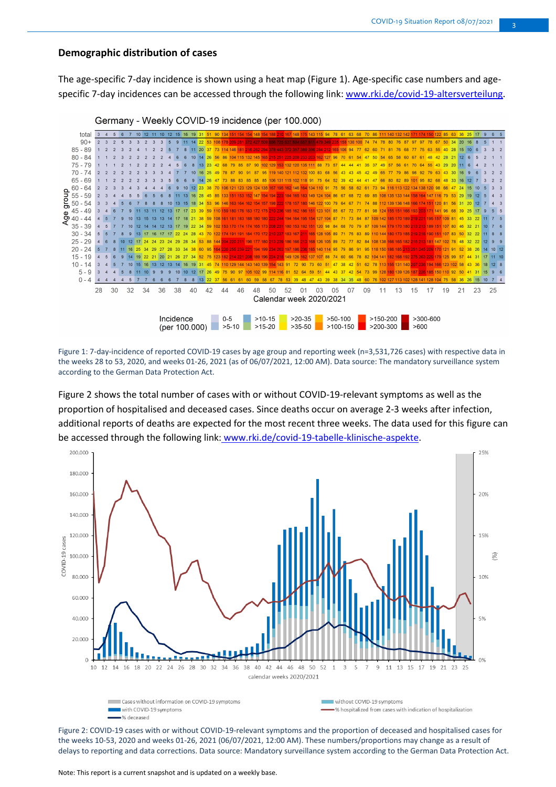#### **Demographic distribution of cases**

The age-specific 7-day incidence is shown using a heat map (Figure 1). Age-specific case numbers and agespecific 7-day incidences can be accessed through the following link: [www.rki.de/covid-19-altersverteilung.](http://www.rki.de/covid-19-altersverteilung)





Figure 1: 7-day-incidence of reported COVID-19 cases by age group and reporting week (n=3,531,726 cases) with respective data in the weeks 28 to 53, 2020, and weeks 01-26, 2021 (as of 06/07/2021, 12:00 AM). Data source: The mandatory surveillance system according to the German Data Protection Act.

Figure 2 shows the total number of cases with or without COVID-19-relevant symptoms as well as the proportion of hospitalised and deceased cases. Since deaths occur on average 2-3 weeks after infection, additional reports of deaths are expected for the most recent three weeks. The data used for this figure can be accessed through the following link: www.rki.de/covid-19-tabelle-klinische-aspekte.



Figure 2: COVID-19 cases with or without COVID-19-relevant symptoms and the proportion of deceased and hospitalised cases for the weeks 10-53, 2020 and weeks 01-26, 2021 (06/07/2021, 12:00 AM). These numbers/proportions may change as a result of delays to reporting and data corrections. Data source: Mandatory surveillance system according to the German Data Protection Act.

Note: This report is a current snapshot and is updated on a weekly base.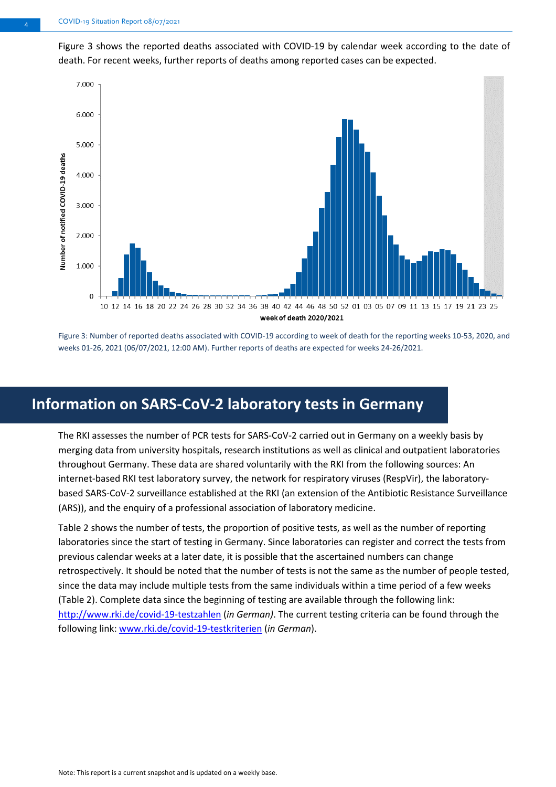Figure 3 shows the reported deaths associated with COVID-19 by calendar week according to the date of death. For recent weeks, further reports of deaths among reported cases can be expected.



Figure 3: Number of reported deaths associated with COVID-19 according to week of death for the reporting weeks 10-53, 2020, and weeks 01-26, 2021 (06/07/2021, 12:00 AM). Further reports of deaths are expected for weeks 24-26/2021.

# **Information on SARS-CoV-2 laboratory tests in Germany**

The RKI assesses the number of PCR tests for SARS-CoV-2 carried out in Germany on a weekly basis by merging data from university hospitals, research institutions as well as clinical and outpatient laboratories throughout Germany. These data are shared voluntarily with the RKI from the following sources: An internet-based RKI test laboratory survey, the network for respiratory viruses (RespVir), the laboratorybased SARS-CoV-2 surveillance established at the RKI (an extension of the Antibiotic Resistance Surveillance (ARS)), and the enquiry of a professional association of laboratory medicine.

<span id="page-3-0"></span>Table 2 shows the number of tests, the proportion of positive tests, as well as the number of reporting laboratories since the start of testing in Germany. Since laboratories can register and correct the tests from previous calendar weeks at a later date, it is possible that the ascertained numbers can change retrospectively. It should be noted that the number of tests is not the same as the number of people tested, since the data may include multiple tests from the same individuals within a time period of a few weeks [\(Table 2\)](#page-3-0). Complete data since the beginning of testing are available through the following link: <http://www.rki.de/covid-19-testzahlen> (*in German)*. The current testing criteria can be found through the following link[: www.rki.de/covid-19-testkriterien](http://www.rki.de/covid-19-testkriterien) (*in German*).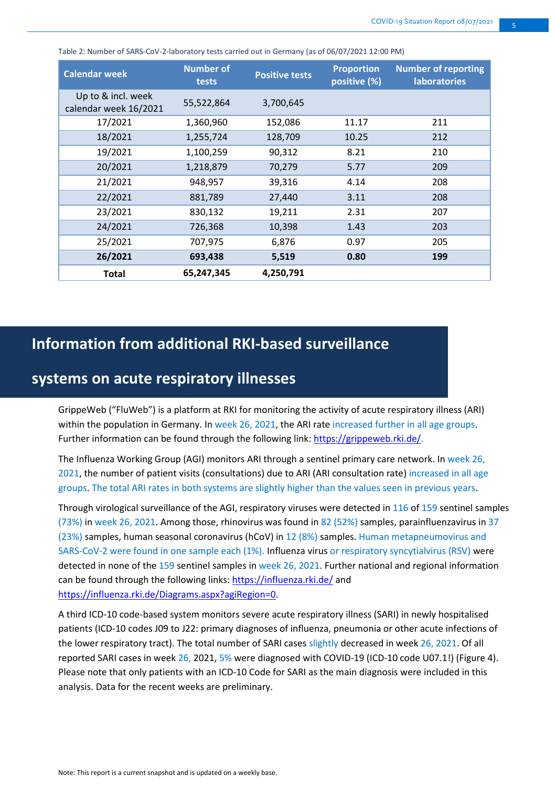| <b>Calendar week</b>                        | <b>Number of</b><br>tests | <b>Positive tests</b> | <b>Proportion</b><br>positive (%) | <b>Number of reporting</b><br><b>laboratories</b> |
|---------------------------------------------|---------------------------|-----------------------|-----------------------------------|---------------------------------------------------|
| Up to & incl. week<br>calendar week 16/2021 | 55,522,864                | 3,700,645             |                                   |                                                   |
| 17/2021                                     | 1,360,960                 | 152,086               | 11.17                             | 211                                               |
| 18/2021                                     | 1,255,724                 | 128,709               | 10.25                             | 212                                               |
| 19/2021                                     | 1,100,259                 | 90,312                | 8.21                              | 210                                               |
| 20/2021                                     | 1,218,879                 | 70,279                | 5.77                              | 209                                               |
| 21/2021                                     | 948,957                   | 39,316                | 4.14                              | 208                                               |
| 22/2021                                     | 881,789                   | 27,440                | 3.11                              | 208                                               |
| 23/2021                                     | 830,132                   | 19,211                | 2.31                              | 207                                               |
| 24/2021                                     | 726,368                   | 10,398                | 1.43                              | 203                                               |
| 25/2021                                     | 707,975                   | 6,876                 | 0.97                              | 205                                               |
| 26/2021                                     | 693,438                   | 5,519                 | 0.80                              | 199                                               |
| Total                                       | 65,247,345                | 4,250,791             |                                   |                                                   |

Table 2: Number of SARS-CoV-2-laboratory tests carried out in Germany (as of 06/07/2021 12:00 PM)

# **Information from additional RKI-based surveillance**

## **systems on acute respiratory illnesses**

GrippeWeb ("FluWeb") is a platform at RKI for monitoring the activity of acute respiratory illness (ARI) within the population in Germany. In week 26, 2021, the ARI rate increased further in all age groups. Further information can be found through the following link[: https://grippeweb.rki.de/.](https://grippeweb.rki.de/)

The Influenza Working Group (AGI) monitors ARI through a sentinel primary care network. In week 26, 2021, the number of patient visits (consultations) due to ARI (ARI consultation rate) increased in all age groups. The total ARI rates in both systems are slightly higher than the values seen in previous years.

Through virological surveillance of the AGI, respiratory viruses were detected in 116 of 159 sentinel samples (73%) in week 26, 2021. Among those, rhinovirus was found in 82 (52%) samples, parainfluenzavirus in 37 (23%) samples, human seasonal coronavirus (hCoV) in 12 (8%) samples. Human metapneumovirus and SARS-CoV-2 were found in one sample each (1%). Influenza virus or respiratory syncytialvirus (RSV) were detected in none of the 159 sentinel samples in week 26, 2021. Further national and regional information can be found through the following links[: https://influenza.rki.de/](https://influenza.rki.de/) and [https://influenza.rki.de/Diagrams.aspx?agiRegion=0.](https://influenza.rki.de/Diagrams.aspx?agiRegion=0)

A third ICD-10 code-based system monitors severe acute respiratory illness (SARI) in newly hospitalised patients (ICD-10 codes J09 to J22: primary diagnoses of influenza, pneumonia or other acute infections of the lower respiratory tract). The total number of SARI cases slightly decreased in week 26, 2021. Of all reported SARI cases in week 26, 2021, 5% were diagnosed with COVID-19 (ICD-10 code U07.1!) (Figure 4). Please note that only patients with an ICD-10 Code for SARI as the main diagnosis were included in this analysis. Data for the recent weeks are preliminary.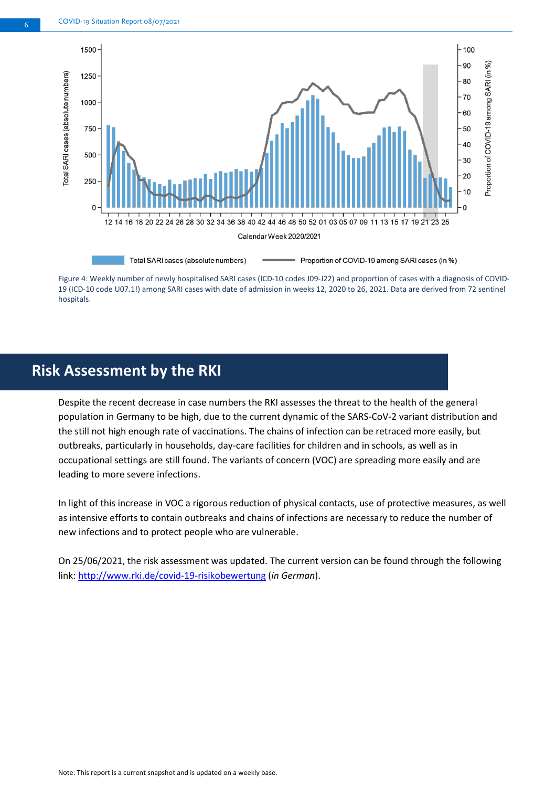

Figure 4: Weekly number of newly hospitalised SARI cases (ICD-10 codes J09-J22) and proportion of cases with a diagnosis of COVID-19 (ICD-10 code U07.1!) among SARI cases with date of admission in weeks 12, 2020 to 26, 2021. Data are derived from 72 sentinel hospitals.

## **Risk Assessment by the RKI**

Despite the recent decrease in case numbers the RKI assesses the threat to the health of the general population in Germany to be high, due to the current dynamic of the SARS-CoV-2 variant distribution and the still not high enough rate of vaccinations. The chains of infection can be retraced more easily, but outbreaks, particularly in households, day-care facilities for children and in schools, as well as in occupational settings are still found. The variants of concern (VOC) are spreading more easily and are leading to more severe infections.

In light of this increase in VOC a rigorous reduction of physical contacts, use of protective measures, as well as intensive efforts to contain outbreaks and chains of infections are necessary to reduce the number of new infections and to protect people who are vulnerable.

On 25/06/2021, the risk assessment was updated. The current version can be found through the following link: <http://www.rki.de/covid-19-risikobewertung> (*in German*).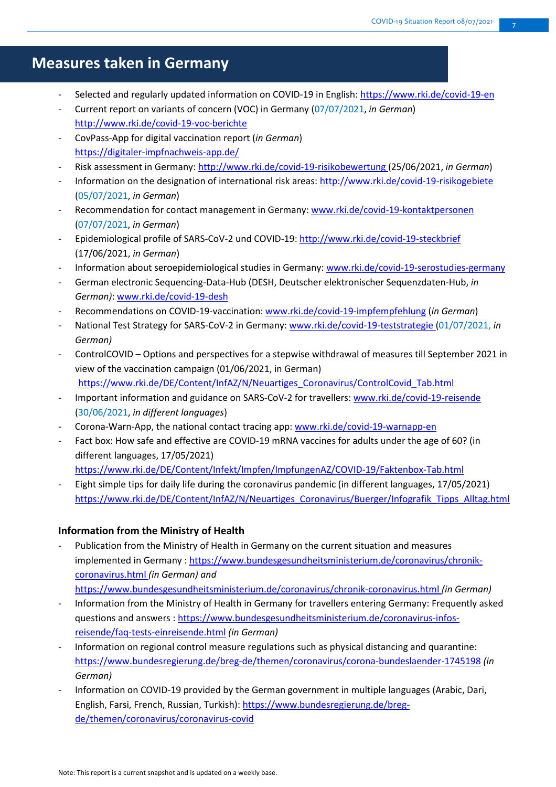# **Measures taken in Germany**

- Selected and regularly updated information on COVID-19 in English[: https://www.rki.de/covid-19-en](https://www.rki.de/covid-19-en)
- Current report on variants of concern (VOC) in Germany (07/07/2021, *in German*) <http://www.rki.de/covid-19-voc-berichte>
- CovPass-App for digital vaccination report (*in German*) <https://digitaler-impfnachweis-app.de/>
- Risk assessment in Germany:<http://www.rki.de/covid-19-risikobewertung> (25/06/2021, *in German*)
- Information on the designation of international risk areas: <http://www.rki.de/covid-19-risikogebiete> (05/07/2021, *in German*)
- Recommendation for contact management in Germany: [www.rki.de/covid-19-kontaktpersonen](http://www.rki.de/covid-19-kontaktpersonen) (07/07/2021, *in German*)
- Epidemiological profile of SARS-CoV-2 und COVID-19[: http://www.rki.de/covid-19-steckbrief](http://www.rki.de/covid-19-steckbrief) (17/06/2021, *in German*)
- Information about seroepidemiological studies in Germany: [www.rki.de/covid-19-serostudies-germany](http://www.rki.de/covid-19-serostudies-germany)
- German electronic Sequencing-Data-Hub (DESH, Deutscher elektronischer Sequenzdaten-Hub, *in German)*: [www.rki.de/covid-19-desh](http://www.rki.de/covid-19-desh)
- Recommendations on COVID-19-vaccination: [www.rki.de/covid-19-impfempfehlung](http://www.rki.de/covid-19-impfempfehlung) (*in German*)
- National Test Strategy for SARS-CoV-2 in Germany[: www.rki.de/covid-19-teststrategie](http://www.rki.de/covid-19-teststrategie) (01/07/2021, *in German)*
- ControlCOVID Options and perspectives for a stepwise withdrawal of measures till September 2021 in view of the vaccination campaign (01/06/2021, in German) [https://www.rki.de/DE/Content/InfAZ/N/Neuartiges\\_Coronavirus/ControlCovid\\_Tab.html](https://www.rki.de/DE/Content/InfAZ/N/Neuartiges_Coronavirus/ControlCovid_Tab.html)
- Important information and guidance on SARS-CoV-2 for travellers: [www.rki.de/covid-19-reisende](http://www.rki.de/covid-19-reisende) (30/06/2021, *in different languages*)
- Corona-Warn-App, the national contact tracing app: [www.rki.de/covid-19-warnapp-en](http://www.rki.de/covid-19-warnapp-en)
- Fact box: How safe and effective are COVID-19 mRNA vaccines for adults under the age of 60? (in different languages, 17/05/2021)
- <https://www.rki.de/DE/Content/Infekt/Impfen/ImpfungenAZ/COVID-19/Faktenbox-Tab.html>
- Eight simple tips for daily life during the coronavirus pandemic (in different languages, 17/05/2021) [https://www.rki.de/DE/Content/InfAZ/N/Neuartiges\\_Coronavirus/Buerger/Infografik\\_Tipps\\_Alltag.html](https://www.rki.de/DE/Content/InfAZ/N/Neuartiges_Coronavirus/Buerger/Infografik_Tipps_Alltag.html)

### **Information from the Ministry of Health**

- Publication from the Ministry of Health in Germany on the current situation and measures implemented in Germany [: https://www.bundesgesundheitsministerium.de/coronavirus/chronik](https://www.bundesgesundheitsministerium.de/coronavirus/chronik-coronavirus.html)[coronavirus.html](https://www.bundesgesundheitsministerium.de/coronavirus/chronik-coronavirus.html) *(in German) and*
- <https://www.bundesgesundheitsministerium.de/coronavirus/chronik-coronavirus.html> *(in German)* - Information from the Ministry of Health in Germany for travellers entering Germany: Frequently asked questions and answers : [https://www.bundesgesundheitsministerium.de/coronavirus-infos](https://www.bundesgesundheitsministerium.de/coronavirus-infos-reisende/faq-tests-einreisende.html)[reisende/faq-tests-einreisende.html](https://www.bundesgesundheitsministerium.de/coronavirus-infos-reisende/faq-tests-einreisende.html) *(in German)*
- Information on regional control measure regulations such as physical distancing and quarantine: <https://www.bundesregierung.de/breg-de/themen/coronavirus/corona-bundeslaender-1745198> *(in German)*
- Information on COVID-19 provided by the German government in multiple languages (Arabic, Dari, English, Farsi, French, Russian, Turkish): [https://www.bundesregierung.de/breg](https://www.bundesregierung.de/breg-de/themen/coronavirus/coronavirus-covid)[de/themen/coronavirus/coronavirus-covid](https://www.bundesregierung.de/breg-de/themen/coronavirus/coronavirus-covid)